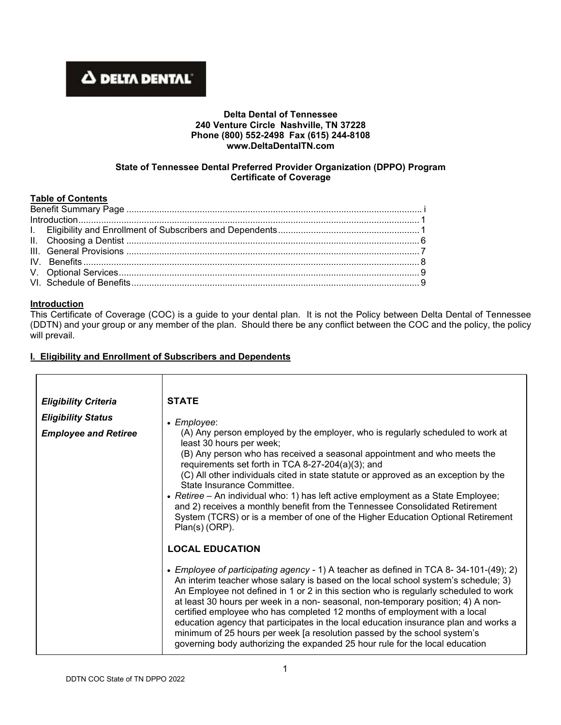# **A DELTA DENTAL**

## **Delta Dental of Tennessee 240 Venture Circle Nashville, TN 37228 Phone (800) 552-2498 Fax (615) 244-8108 www.DeltaDentalTN.com**

#### **State of Tennessee Dental Preferred Provider Organization (DPPO) Program Certificate of Coverage**

# **Table of Contents**

## **Introduction**

This Certificate of Coverage (COC) is a guide to your dental plan. It is not the Policy between Delta Dental of Tennessee (DDTN) and your group or any member of the plan. Should there be any conflict between the COC and the policy, the policy will prevail.

## **I. Eligibility and Enrollment of Subscribers and Dependents**

| <b>Eligibility Criteria</b> | <b>STATE</b>                                                                                                                                                                                                                                                                                                                                                                                                                                                                                                                                                                                                                                                                             |
|-----------------------------|------------------------------------------------------------------------------------------------------------------------------------------------------------------------------------------------------------------------------------------------------------------------------------------------------------------------------------------------------------------------------------------------------------------------------------------------------------------------------------------------------------------------------------------------------------------------------------------------------------------------------------------------------------------------------------------|
| <b>Eligibility Status</b>   | • Employee:                                                                                                                                                                                                                                                                                                                                                                                                                                                                                                                                                                                                                                                                              |
| <b>Employee and Retiree</b> | (A) Any person employed by the employer, who is regularly scheduled to work at<br>least 30 hours per week;<br>(B) Any person who has received a seasonal appointment and who meets the<br>requirements set forth in TCA 8-27-204(a)(3); and<br>(C) All other individuals cited in state statute or approved as an exception by the<br>State Insurance Committee.<br>• Retiree – An individual who: 1) has left active employment as a State Employee;<br>and 2) receives a monthly benefit from the Tennessee Consolidated Retirement<br>System (TCRS) or is a member of one of the Higher Education Optional Retirement<br>Plan(s) (ORP).                                               |
|                             | <b>LOCAL EDUCATION</b>                                                                                                                                                                                                                                                                                                                                                                                                                                                                                                                                                                                                                                                                   |
|                             | • Employee of participating agency - 1) A teacher as defined in TCA 8-34-101-(49); 2)<br>An interim teacher whose salary is based on the local school system's schedule; 3)<br>An Employee not defined in 1 or 2 in this section who is regularly scheduled to work<br>at least 30 hours per week in a non- seasonal, non-temporary position; 4) A non-<br>certified employee who has completed 12 months of employment with a local<br>education agency that participates in the local education insurance plan and works a<br>minimum of 25 hours per week [a resolution passed by the school system's<br>governing body authorizing the expanded 25 hour rule for the local education |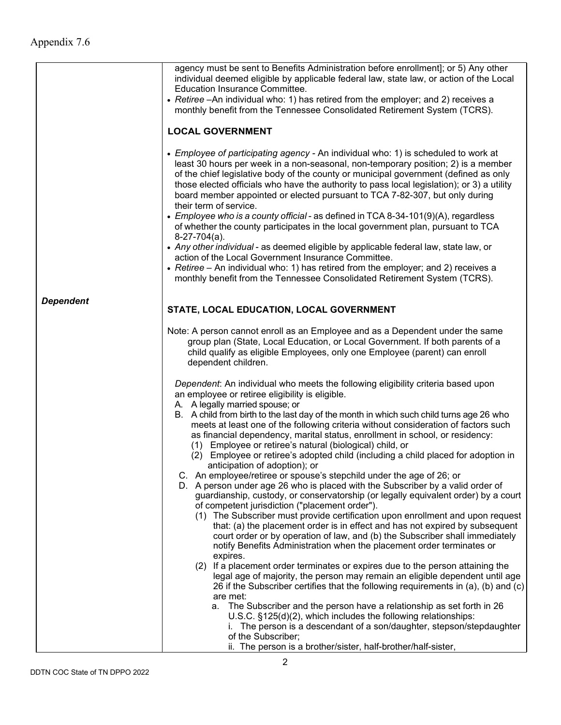|                  | agency must be sent to Benefits Administration before enrollment]; or 5) Any other<br>individual deemed eligible by applicable federal law, state law, or action of the Local<br>Education Insurance Committee.<br>• Retiree - An individual who: 1) has retired from the employer; and 2) receives a<br>monthly benefit from the Tennessee Consolidated Retirement System (TCRS).                                                                                     |  |  |
|------------------|------------------------------------------------------------------------------------------------------------------------------------------------------------------------------------------------------------------------------------------------------------------------------------------------------------------------------------------------------------------------------------------------------------------------------------------------------------------------|--|--|
|                  | <b>LOCAL GOVERNMENT</b>                                                                                                                                                                                                                                                                                                                                                                                                                                                |  |  |
|                  | • Employee of participating agency - An individual who: 1) is scheduled to work at<br>least 30 hours per week in a non-seasonal, non-temporary position; 2) is a member<br>of the chief legislative body of the county or municipal government (defined as only<br>those elected officials who have the authority to pass local legislation); or 3) a utility<br>board member appointed or elected pursuant to TCA 7-82-307, but only during<br>their term of service. |  |  |
|                  | • Employee who is a county official - as defined in TCA 8-34-101(9)(A), regardless<br>of whether the county participates in the local government plan, pursuant to TCA<br>$8-27-704(a)$ .                                                                                                                                                                                                                                                                              |  |  |
|                  | • Any other individual - as deemed eligible by applicable federal law, state law, or<br>action of the Local Government Insurance Committee.<br>• Retiree - An individual who: 1) has retired from the employer; and 2) receives a                                                                                                                                                                                                                                      |  |  |
|                  | monthly benefit from the Tennessee Consolidated Retirement System (TCRS).                                                                                                                                                                                                                                                                                                                                                                                              |  |  |
| <b>Dependent</b> | STATE, LOCAL EDUCATION, LOCAL GOVERNMENT                                                                                                                                                                                                                                                                                                                                                                                                                               |  |  |
|                  | Note: A person cannot enroll as an Employee and as a Dependent under the same<br>group plan (State, Local Education, or Local Government. If both parents of a<br>child qualify as eligible Employees, only one Employee (parent) can enroll<br>dependent children.                                                                                                                                                                                                    |  |  |
|                  | Dependent: An individual who meets the following eligibility criteria based upon<br>an employee or retiree eligibility is eligible.                                                                                                                                                                                                                                                                                                                                    |  |  |
|                  | A. A legally married spouse; or<br>B. A child from birth to the last day of the month in which such child turns age 26 who<br>meets at least one of the following criteria without consideration of factors such<br>as financial dependency, marital status, enrollment in school, or residency:<br>(1) Employee or retiree's natural (biological) child, or<br>(2) Employee or retiree's adopted child (including a child placed for adoption in                      |  |  |
|                  | anticipation of adoption); or<br>C. An employee/retiree or spouse's stepchild under the age of 26; or<br>D. A person under age 26 who is placed with the Subscriber by a valid order of<br>guardianship, custody, or conservatorship (or legally equivalent order) by a court<br>of competent jurisdiction ("placement order").                                                                                                                                        |  |  |
|                  | (1) The Subscriber must provide certification upon enrollment and upon request<br>that: (a) the placement order is in effect and has not expired by subsequent<br>court order or by operation of law, and (b) the Subscriber shall immediately<br>notify Benefits Administration when the placement order terminates or<br>expires.                                                                                                                                    |  |  |
|                  | (2) If a placement order terminates or expires due to the person attaining the<br>legal age of majority, the person may remain an eligible dependent until age<br>26 if the Subscriber certifies that the following requirements in (a), (b) and (c)<br>are met:                                                                                                                                                                                                       |  |  |
|                  | a. The Subscriber and the person have a relationship as set forth in 26<br>U.S.C. §125(d)(2), which includes the following relationships:<br>i. The person is a descendant of a son/daughter, stepson/stepdaughter                                                                                                                                                                                                                                                     |  |  |
|                  | of the Subscriber;<br>ii. The person is a brother/sister, half-brother/half-sister,                                                                                                                                                                                                                                                                                                                                                                                    |  |  |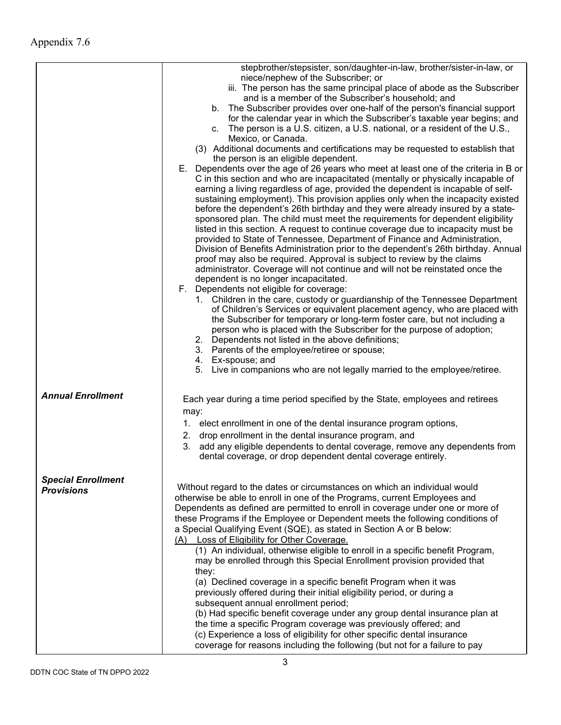|                           | stepbrother/stepsister, son/daughter-in-law, brother/sister-in-law, or<br>niece/nephew of the Subscriber; or                                                                                                                                                                                                                                                                                                                                                                                                                                                                                                                                                           |
|---------------------------|------------------------------------------------------------------------------------------------------------------------------------------------------------------------------------------------------------------------------------------------------------------------------------------------------------------------------------------------------------------------------------------------------------------------------------------------------------------------------------------------------------------------------------------------------------------------------------------------------------------------------------------------------------------------|
|                           | iii. The person has the same principal place of abode as the Subscriber<br>and is a member of the Subscriber's household; and                                                                                                                                                                                                                                                                                                                                                                                                                                                                                                                                          |
|                           | b. The Subscriber provides over one-half of the person's financial support<br>for the calendar year in which the Subscriber's taxable year begins; and<br>c. The person is a U.S. citizen, a U.S. national, or a resident of the U.S.,                                                                                                                                                                                                                                                                                                                                                                                                                                 |
|                           | Mexico, or Canada.                                                                                                                                                                                                                                                                                                                                                                                                                                                                                                                                                                                                                                                     |
|                           | (3) Additional documents and certifications may be requested to establish that<br>the person is an eligible dependent.                                                                                                                                                                                                                                                                                                                                                                                                                                                                                                                                                 |
|                           | E. Dependents over the age of 26 years who meet at least one of the criteria in B or<br>C in this section and who are incapacitated (mentally or physically incapable of<br>earning a living regardless of age, provided the dependent is incapable of self-                                                                                                                                                                                                                                                                                                                                                                                                           |
|                           | sustaining employment). This provision applies only when the incapacity existed<br>before the dependent's 26th birthday and they were already insured by a state-<br>sponsored plan. The child must meet the requirements for dependent eligibility<br>listed in this section. A request to continue coverage due to incapacity must be<br>provided to State of Tennessee, Department of Finance and Administration,<br>Division of Benefits Administration prior to the dependent's 26th birthday. Annual<br>proof may also be required. Approval is subject to review by the claims<br>administrator. Coverage will not continue and will not be reinstated once the |
|                           | dependent is no longer incapacitated.                                                                                                                                                                                                                                                                                                                                                                                                                                                                                                                                                                                                                                  |
|                           | F. Dependents not eligible for coverage:<br>1. Children in the care, custody or guardianship of the Tennessee Department<br>of Children's Services or equivalent placement agency, who are placed with<br>the Subscriber for temporary or long-term foster care, but not including a<br>person who is placed with the Subscriber for the purpose of adoption;<br>2. Dependents not listed in the above definitions;<br>3. Parents of the employee/retiree or spouse;                                                                                                                                                                                                   |
|                           | 4. Ex-spouse; and<br>5. Live in companions who are not legally married to the employee/retiree.                                                                                                                                                                                                                                                                                                                                                                                                                                                                                                                                                                        |
| <b>Annual Enrollment</b>  | Each year during a time period specified by the State, employees and retirees<br>may:                                                                                                                                                                                                                                                                                                                                                                                                                                                                                                                                                                                  |
|                           | 1. elect enrollment in one of the dental insurance program options,                                                                                                                                                                                                                                                                                                                                                                                                                                                                                                                                                                                                    |
|                           | drop enrollment in the dental insurance program, and<br>2.                                                                                                                                                                                                                                                                                                                                                                                                                                                                                                                                                                                                             |
|                           | add any eligible dependents to dental coverage, remove any dependents from<br>3.<br>dental coverage, or drop dependent dental coverage entirely.                                                                                                                                                                                                                                                                                                                                                                                                                                                                                                                       |
| <b>Special Enrollment</b> |                                                                                                                                                                                                                                                                                                                                                                                                                                                                                                                                                                                                                                                                        |
| <b>Provisions</b>         | Without regard to the dates or circumstances on which an individual would<br>otherwise be able to enroll in one of the Programs, current Employees and                                                                                                                                                                                                                                                                                                                                                                                                                                                                                                                 |
|                           | Dependents as defined are permitted to enroll in coverage under one or more of                                                                                                                                                                                                                                                                                                                                                                                                                                                                                                                                                                                         |
|                           | these Programs if the Employee or Dependent meets the following conditions of<br>a Special Qualifying Event (SQE), as stated in Section A or B below:                                                                                                                                                                                                                                                                                                                                                                                                                                                                                                                  |
|                           | (A) Loss of Eligibility for Other Coverage.                                                                                                                                                                                                                                                                                                                                                                                                                                                                                                                                                                                                                            |
|                           | (1) An individual, otherwise eligible to enroll in a specific benefit Program,                                                                                                                                                                                                                                                                                                                                                                                                                                                                                                                                                                                         |
|                           | may be enrolled through this Special Enrollment provision provided that<br>they:                                                                                                                                                                                                                                                                                                                                                                                                                                                                                                                                                                                       |
|                           | (a) Declined coverage in a specific benefit Program when it was                                                                                                                                                                                                                                                                                                                                                                                                                                                                                                                                                                                                        |
|                           | previously offered during their initial eligibility period, or during a<br>subsequent annual enrollment period;                                                                                                                                                                                                                                                                                                                                                                                                                                                                                                                                                        |
|                           | (b) Had specific benefit coverage under any group dental insurance plan at                                                                                                                                                                                                                                                                                                                                                                                                                                                                                                                                                                                             |
|                           | the time a specific Program coverage was previously offered; and<br>(c) Experience a loss of eligibility for other specific dental insurance<br>coverage for reasons including the following (but not for a failure to pay                                                                                                                                                                                                                                                                                                                                                                                                                                             |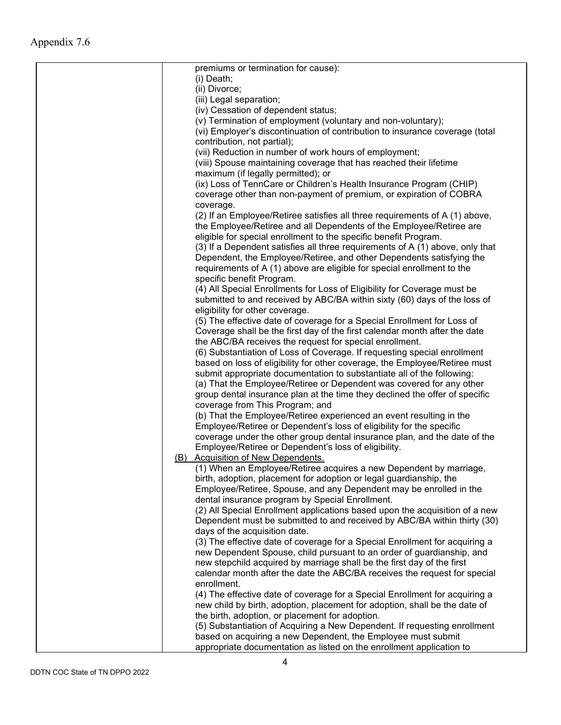| premiums or termination for cause):                                           |
|-------------------------------------------------------------------------------|
| (i) Death;                                                                    |
| (ii) Divorce;                                                                 |
| (iii) Legal separation;                                                       |
| (iv) Cessation of dependent status;                                           |
| (v) Termination of employment (voluntary and non-voluntary);                  |
| (vi) Employer's discontinuation of contribution to insurance coverage (total  |
| contribution, not partial);                                                   |
| (vii) Reduction in number of work hours of employment;                        |
| (viii) Spouse maintaining coverage that has reached their lifetime            |
| maximum (if legally permitted); or                                            |
| (ix) Loss of TennCare or Children's Health Insurance Program (CHIP)           |
| coverage other than non-payment of premium, or expiration of COBRA            |
| coverage.                                                                     |
| (2) If an Employee/Retiree satisfies all three requirements of A (1) above,   |
| the Employee/Retiree and all Dependents of the Employee/Retiree are           |
| eligible for special enrollment to the specific benefit Program.              |
| (3) If a Dependent satisfies all three requirements of A (1) above, only that |
|                                                                               |
| Dependent, the Employee/Retiree, and other Dependents satisfying the          |
| requirements of A (1) above are eligible for special enrollment to the        |
| specific benefit Program.                                                     |
| (4) All Special Enrollments for Loss of Eligibility for Coverage must be      |
| submitted to and received by ABC/BA within sixty (60) days of the loss of     |
| eligibility for other coverage.                                               |
| (5) The effective date of coverage for a Special Enrollment for Loss of       |
| Coverage shall be the first day of the first calendar month after the date    |
| the ABC/BA receives the request for special enrollment.                       |
| (6) Substantiation of Loss of Coverage. If requesting special enrollment      |
| based on loss of eligibility for other coverage, the Employee/Retiree must    |
| submit appropriate documentation to substantiate all of the following:        |
| (a) That the Employee/Retiree or Dependent was covered for any other          |
| group dental insurance plan at the time they declined the offer of specific   |
| coverage from This Program; and                                               |
| (b) That the Employee/Retiree experienced an event resulting in the           |
| Employee/Retiree or Dependent's loss of eligibility for the specific          |
| coverage under the other group dental insurance plan, and the date of the     |
| Employee/Retiree or Dependent's loss of eligibility.                          |
| (B) Acquisition of New Dependents.                                            |
| (1) When an Employee/Retiree acquires a new Dependent by marriage,            |
| birth, adoption, placement for adoption or legal guardianship, the            |
| Employee/Retiree, Spouse, and any Dependent may be enrolled in the            |
| dental insurance program by Special Enrollment.                               |
| (2) All Special Enrollment applications based upon the acquisition of a new   |
| Dependent must be submitted to and received by ABC/BA within thirty (30)      |
| days of the acquisition date.                                                 |
| (3) The effective date of coverage for a Special Enrollment for acquiring a   |
| new Dependent Spouse, child pursuant to an order of guardianship, and         |
| new stepchild acquired by marriage shall be the first day of the first        |
| calendar month after the date the ABC/BA receives the request for special     |
| enrollment.                                                                   |
| (4) The effective date of coverage for a Special Enrollment for acquiring a   |
| new child by birth, adoption, placement for adoption, shall be the date of    |
|                                                                               |
| the birth, adoption, or placement for adoption.                               |
| (5) Substantiation of Acquiring a New Dependent. If requesting enrollment     |
| based on acquiring a new Dependent, the Employee must submit                  |
| appropriate documentation as listed on the enrollment application to          |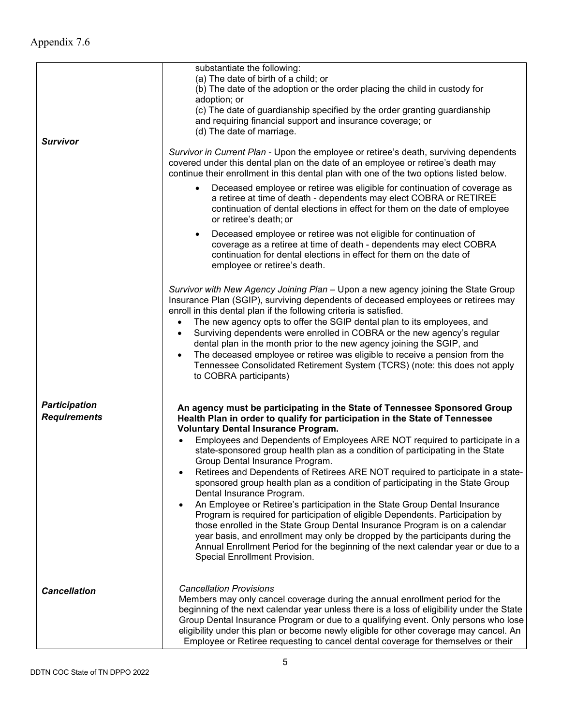| Survivor                                    | substantiate the following:<br>(a) The date of birth of a child; or<br>(b) The date of the adoption or the order placing the child in custody for<br>adoption; or<br>(c) The date of guardianship specified by the order granting guardianship<br>and requiring financial support and insurance coverage; or<br>(d) The date of marriage.                                                                                                                                                                                                                                                                                                                                                                                                                                                                                                                                                                                                                                                                                                                        |
|---------------------------------------------|------------------------------------------------------------------------------------------------------------------------------------------------------------------------------------------------------------------------------------------------------------------------------------------------------------------------------------------------------------------------------------------------------------------------------------------------------------------------------------------------------------------------------------------------------------------------------------------------------------------------------------------------------------------------------------------------------------------------------------------------------------------------------------------------------------------------------------------------------------------------------------------------------------------------------------------------------------------------------------------------------------------------------------------------------------------|
|                                             | Survivor in Current Plan - Upon the employee or retiree's death, surviving dependents<br>covered under this dental plan on the date of an employee or retiree's death may<br>continue their enrollment in this dental plan with one of the two options listed below.                                                                                                                                                                                                                                                                                                                                                                                                                                                                                                                                                                                                                                                                                                                                                                                             |
|                                             | Deceased employee or retiree was eligible for continuation of coverage as<br>$\bullet$<br>a retiree at time of death - dependents may elect COBRA or RETIREE<br>continuation of dental elections in effect for them on the date of employee<br>or retiree's death; or                                                                                                                                                                                                                                                                                                                                                                                                                                                                                                                                                                                                                                                                                                                                                                                            |
|                                             | Deceased employee or retiree was not eligible for continuation of<br>$\bullet$<br>coverage as a retiree at time of death - dependents may elect COBRA<br>continuation for dental elections in effect for them on the date of<br>employee or retiree's death.                                                                                                                                                                                                                                                                                                                                                                                                                                                                                                                                                                                                                                                                                                                                                                                                     |
|                                             | Survivor with New Agency Joining Plan - Upon a new agency joining the State Group<br>Insurance Plan (SGIP), surviving dependents of deceased employees or retirees may<br>enroll in this dental plan if the following criteria is satisfied.<br>The new agency opts to offer the SGIP dental plan to its employees, and<br>Surviving dependents were enrolled in COBRA or the new agency's regular<br>$\bullet$<br>dental plan in the month prior to the new agency joining the SGIP, and<br>The deceased employee or retiree was eligible to receive a pension from the<br>Tennessee Consolidated Retirement System (TCRS) (note: this does not apply<br>to COBRA participants)                                                                                                                                                                                                                                                                                                                                                                                 |
| <b>Participation</b><br><b>Requirements</b> | An agency must be participating in the State of Tennessee Sponsored Group<br>Health Plan in order to qualify for participation in the State of Tennessee<br><b>Voluntary Dental Insurance Program.</b><br>Employees and Dependents of Employees ARE NOT required to participate in a<br>state-sponsored group health plan as a condition of participating in the State<br>Group Dental Insurance Program.<br>Retirees and Dependents of Retirees ARE NOT required to participate in a state-<br>sponsored group health plan as a condition of participating in the State Group<br>Dental Insurance Program.<br>An Employee or Retiree's participation in the State Group Dental Insurance<br>Program is required for participation of eligible Dependents. Participation by<br>those enrolled in the State Group Dental Insurance Program is on a calendar<br>year basis, and enrollment may only be dropped by the participants during the<br>Annual Enrollment Period for the beginning of the next calendar year or due to a<br>Special Enrollment Provision. |
| <b>Cancellation</b>                         | <b>Cancellation Provisions</b><br>Members may only cancel coverage during the annual enrollment period for the<br>beginning of the next calendar year unless there is a loss of eligibility under the State<br>Group Dental Insurance Program or due to a qualifying event. Only persons who lose<br>eligibility under this plan or become newly eligible for other coverage may cancel. An<br>Employee or Retiree requesting to cancel dental coverage for themselves or their                                                                                                                                                                                                                                                                                                                                                                                                                                                                                                                                                                                  |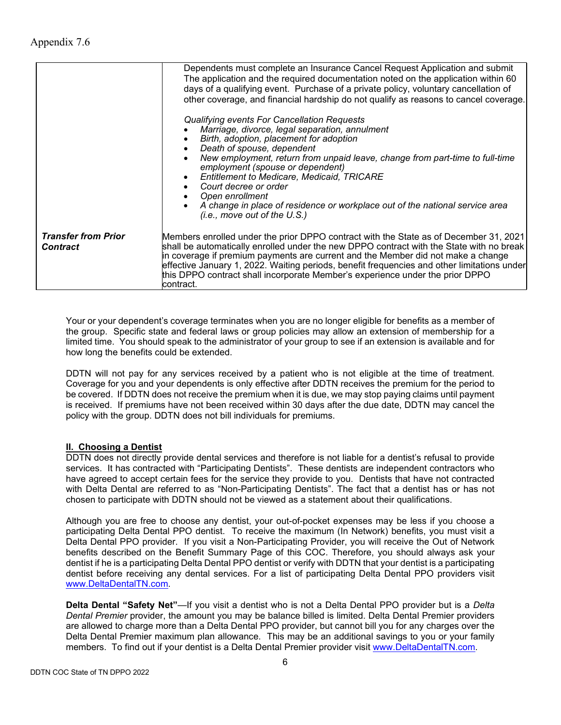|                                               | Dependents must complete an Insurance Cancel Request Application and submit<br>The application and the required documentation noted on the application within 60<br>days of a qualifying event. Purchase of a private policy, voluntary cancellation of<br>other coverage, and financial hardship do not qualify as reasons to cancel coverage.                                                                                                                                                             |  |
|-----------------------------------------------|-------------------------------------------------------------------------------------------------------------------------------------------------------------------------------------------------------------------------------------------------------------------------------------------------------------------------------------------------------------------------------------------------------------------------------------------------------------------------------------------------------------|--|
|                                               | Qualifying events For Cancellation Requests<br>Marriage, divorce, legal separation, annulment<br>Birth, adoption, placement for adoption<br>Death of spouse, dependent<br>New employment, return from unpaid leave, change from part-time to full-time<br>employment (spouse or dependent)<br><b>Entitlement to Medicare, Medicaid, TRICARE</b><br>Court decree or order<br>Open enrollment<br>A change in place of residence or workplace out of the national service area<br>(i.e., move out of the U.S.) |  |
| <b>Transfer from Prior</b><br><b>Contract</b> | Members enrolled under the prior DPPO contract with the State as of December 31, 2021<br>shall be automatically enrolled under the new DPPO contract with the State with no break<br>in coverage if premium payments are current and the Member did not make a change<br>effective January 1, 2022. Waiting periods, benefit frequencies and other limitations under<br>this DPPO contract shall incorporate Member's experience under the prior DPPO<br>lcontract.                                         |  |

Your or your dependent's coverage terminates when you are no longer eligible for benefits as a member of the group. Specific state and federal laws or group policies may allow an extension of membership for a limited time. You should speak to the administrator of your group to see if an extension is available and for how long the benefits could be extended.

DDTN will not pay for any services received by a patient who is not eligible at the time of treatment. Coverage for you and your dependents is only effective after DDTN receives the premium for the period to be covered. If DDTN does not receive the premium when it is due, we may stop paying claims until payment is received. If premiums have not been received within 30 days after the due date, DDTN may cancel the policy with the group. DDTN does not bill individuals for premiums.

# **II. Choosing a Dentist**

DDTN does not directly provide dental services and therefore is not liable for a dentist's refusal to provide services. It has contracted with "Participating Dentists". These dentists are independent contractors who have agreed to accept certain fees for the service they provide to you. Dentists that have not contracted with Delta Dental are referred to as "Non-Participating Dentists". The fact that a dentist has or has not chosen to participate with DDTN should not be viewed as a statement about their qualifications.

Although you are free to choose any dentist, your out-of-pocket expenses may be less if you choose a participating Delta Dental PPO dentist. To receive the maximum (In Network) benefits, you must visit a Delta Dental PPO provider. If you visit a Non-Participating Provider, you will receive the Out of Network benefits described on the Benefit Summary Page of this COC. Therefore, you should always ask your dentist if he is a participating Delta Dental PPO dentist or verify with DDTN that your dentist is a participating dentist before receiving any dental services. For a list of participating Delta Dental PPO providers visit [www.DeltaDentalTN.com.](http://www.deltadentaltn.com/)

**Delta Dental "Safety Net"**—If you visit a dentist who is not a Delta Dental PPO provider but is a *Delta Dental Premier* provider, the amount you may be balance billed is limited. Delta Dental Premier providers are allowed to charge more than a Delta Dental PPO provider, but cannot bill you for any charges over the Delta Dental Premier maximum plan allowance. This may be an additional savings to you or your family members. To find out if your dentist is a Delta Dental Premier provider visit [www.DeltaDentalTN.com.](http://www.deltadentaltn.com/)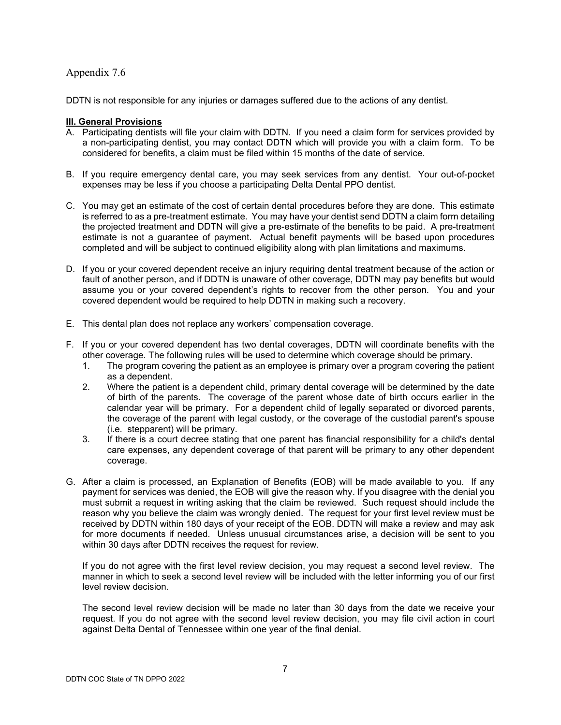DDTN is not responsible for any injuries or damages suffered due to the actions of any dentist.

#### **III. General Provisions**

- A. Participating dentists will file your claim with DDTN. If you need a claim form for services provided by a non-participating dentist, you may contact DDTN which will provide you with a claim form. To be considered for benefits, a claim must be filed within 15 months of the date of service.
- B. If you require emergency dental care, you may seek services from any dentist. Your out-of-pocket expenses may be less if you choose a participating Delta Dental PPO dentist.
- C. You may get an estimate of the cost of certain dental procedures before they are done. This estimate is referred to as a pre-treatment estimate. You may have your dentist send DDTN a claim form detailing the projected treatment and DDTN will give a pre-estimate of the benefits to be paid. A pre-treatment estimate is not a guarantee of payment. Actual benefit payments will be based upon procedures completed and will be subject to continued eligibility along with plan limitations and maximums.
- D. If you or your covered dependent receive an injury requiring dental treatment because of the action or fault of another person, and if DDTN is unaware of other coverage, DDTN may pay benefits but would assume you or your covered dependent's rights to recover from the other person. You and your covered dependent would be required to help DDTN in making such a recovery.
- E. This dental plan does not replace any workers' compensation coverage.
- F. If you or your covered dependent has two dental coverages, DDTN will coordinate benefits with the other coverage. The following rules will be used to determine which coverage should be primary.
	- 1. The program covering the patient as an employee is primary over a program covering the patient as a dependent.
	- 2. Where the patient is a dependent child, primary dental coverage will be determined by the date of birth of the parents. The coverage of the parent whose date of birth occurs earlier in the calendar year will be primary. For a dependent child of legally separated or divorced parents, the coverage of the parent with legal custody, or the coverage of the custodial parent's spouse (i.e. stepparent) will be primary.
	- 3. If there is a court decree stating that one parent has financial responsibility for a child's dental care expenses, any dependent coverage of that parent will be primary to any other dependent coverage.
- G. After a claim is processed, an Explanation of Benefits (EOB) will be made available to you. If any payment for services was denied, the EOB will give the reason why. If you disagree with the denial you must submit a request in writing asking that the claim be reviewed. Such request should include the reason why you believe the claim was wrongly denied. The request for your first level review must be received by DDTN within 180 days of your receipt of the EOB. DDTN will make a review and may ask for more documents if needed. Unless unusual circumstances arise, a decision will be sent to you within 30 days after DDTN receives the request for review.

If you do not agree with the first level review decision, you may request a second level review. The manner in which to seek a second level review will be included with the letter informing you of our first level review decision.

The second level review decision will be made no later than 30 days from the date we receive your request. If you do not agree with the second level review decision, you may file civil action in court against Delta Dental of Tennessee within one year of the final denial.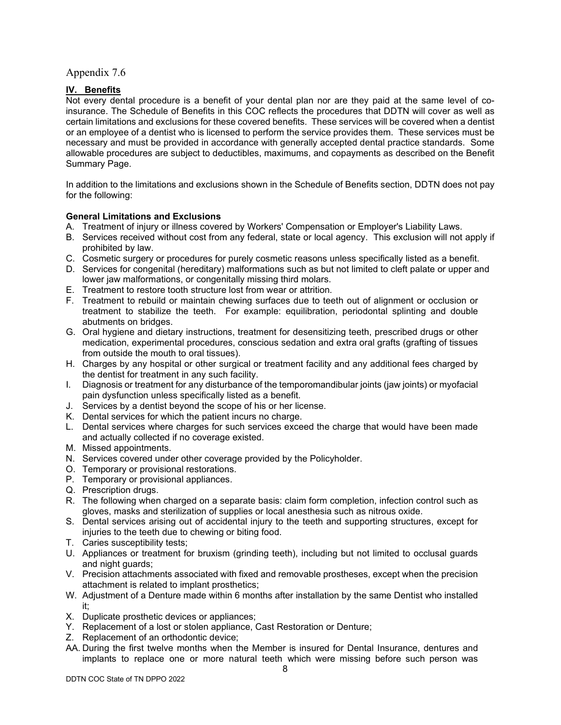## **IV. Benefits**

Not every dental procedure is a benefit of your dental plan nor are they paid at the same level of coinsurance. The Schedule of Benefits in this COC reflects the procedures that DDTN will cover as well as certain limitations and exclusions for these covered benefits. These services will be covered when a dentist or an employee of a dentist who is licensed to perform the service provides them. These services must be necessary and must be provided in accordance with generally accepted dental practice standards. Some allowable procedures are subject to deductibles, maximums, and copayments as described on the Benefit Summary Page.

In addition to the limitations and exclusions shown in the Schedule of Benefits section, DDTN does not pay for the following:

#### **General Limitations and Exclusions**

- A. Treatment of injury or illness covered by Workers' Compensation or Employer's Liability Laws.
- B. Services received without cost from any federal, state or local agency. This exclusion will not apply if prohibited by law.
- C. Cosmetic surgery or procedures for purely cosmetic reasons unless specifically listed as a benefit.
- D. Services for congenital (hereditary) malformations such as but not limited to cleft palate or upper and lower jaw malformations, or congenitally missing third molars.
- E. Treatment to restore tooth structure lost from wear or attrition.
- F. Treatment to rebuild or maintain chewing surfaces due to teeth out of alignment or occlusion or treatment to stabilize the teeth. For example: equilibration, periodontal splinting and double abutments on bridges.
- G. Oral hygiene and dietary instructions, treatment for desensitizing teeth, prescribed drugs or other medication, experimental procedures, conscious sedation and extra oral grafts (grafting of tissues from outside the mouth to oral tissues).
- H. Charges by any hospital or other surgical or treatment facility and any additional fees charged by the dentist for treatment in any such facility.
- I. Diagnosis or treatment for any disturbance of the temporomandibular joints (jaw joints) or myofacial pain dysfunction unless specifically listed as a benefit.
- J. Services by a dentist beyond the scope of his or her license.
- K. Dental services for which the patient incurs no charge.
- L. Dental services where charges for such services exceed the charge that would have been made and actually collected if no coverage existed.
- M. Missed appointments.
- N. Services covered under other coverage provided by the Policyholder.
- O. Temporary or provisional restorations.
- P. Temporary or provisional appliances.
- Q. Prescription drugs.
- R. The following when charged on a separate basis: claim form completion, infection control such as gloves, masks and sterilization of supplies or local anesthesia such as nitrous oxide.
- S. Dental services arising out of accidental injury to the teeth and supporting structures, except for injuries to the teeth due to chewing or biting food.
- T. Caries susceptibility tests;
- U. Appliances or treatment for bruxism (grinding teeth), including but not limited to occlusal guards and night guards;
- V. Precision attachments associated with fixed and removable prostheses, except when the precision attachment is related to implant prosthetics;
- W. Adjustment of a Denture made within 6 months after installation by the same Dentist who installed it;
- X. Duplicate prosthetic devices or appliances;
- Y. Replacement of a lost or stolen appliance, Cast Restoration or Denture;
- Z. Replacement of an orthodontic device;
- AA. During the first twelve months when the Member is insured for Dental Insurance, dentures and implants to replace one or more natural teeth which were missing before such person was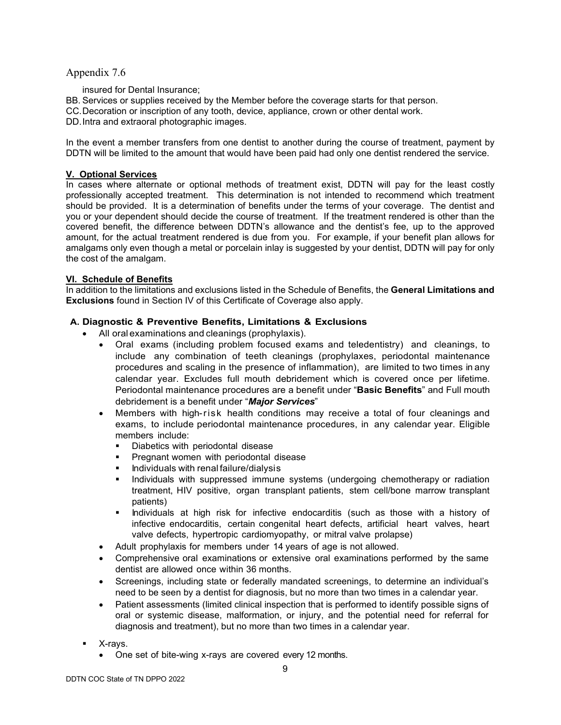- insured for Dental Insurance;
- BB. Services or supplies received by the Member before the coverage starts for that person.
- CC.Decoration or inscription of any tooth, device, appliance, crown or other dental work.
- DD.Intra and extraoral photographic images.

In the event a member transfers from one dentist to another during the course of treatment, payment by DDTN will be limited to the amount that would have been paid had only one dentist rendered the service.

## **V. Optional Services**

In cases where alternate or optional methods of treatment exist, DDTN will pay for the least costly professionally accepted treatment. This determination is not intended to recommend which treatment should be provided. It is a determination of benefits under the terms of your coverage. The dentist and you or your dependent should decide the course of treatment. If the treatment rendered is other than the covered benefit, the difference between DDTN's allowance and the dentist's fee, up to the approved amount, for the actual treatment rendered is due from you. For example, if your benefit plan allows for amalgams only even though a metal or porcelain inlay is suggested by your dentist, DDTN will pay for only the cost of the amalgam.

## **VI. Schedule of Benefits**

In addition to the limitations and exclusions listed in the Schedule of Benefits, the **General Limitations and Exclusions** found in Section IV of this Certificate of Coverage also apply.

## **A. Diagnostic & Preventive Benefits, Limitations & Exclusions**

- All oral examinations and cleanings (prophylaxis).
	- Oral exams (including problem focused exams and teledentistry) and cleanings, to include any combination of teeth cleanings (prophylaxes, periodontal maintenance procedures and scaling in the presence of inflammation), are limited to two times in any calendar year. Excludes full mouth debridement which is covered once per lifetime. Periodontal maintenance procedures are a benefit under "**Basic Benefits**" and Full mouth debridement is a benefit under "*Major Services*"
	- Members with high-risk health conditions may receive a total of four cleanings and exams, to include periodontal maintenance procedures, in any calendar year. Eligible members include:
		- Diabetics with periodontal disease
		- **Pregnant women with periodontal disease**
		- **Individuals with renal failure/dialysis**
		- **Individuals with suppressed immune systems (undergoing chemotherapy or radiation** treatment, HIV positive, organ transplant patients, stem cell/bone marrow transplant patients)
		- **Individuals at high risk for infective endocarditis (such as those with a history of** infective endocarditis, certain congenital heart defects, artificial heart valves, heart valve defects, hypertropic cardiomyopathy, or mitral valve prolapse)
	- Adult prophylaxis for members under 14 years of age is not allowed.
	- Comprehensive oral examinations or extensive oral examinations performed by the same dentist are allowed once within 36 months.
	- Screenings, including state or federally mandated screenings, to determine an individual's need to be seen by a dentist for diagnosis, but no more than two times in a calendar year.
	- Patient assessments (limited clinical inspection that is performed to identify possible signs of oral or systemic disease, malformation, or injury, and the potential need for referral for diagnosis and treatment), but no more than two times in a calendar year.
- X-rays.
	- One set of bite-wing x-rays are covered every 12 months.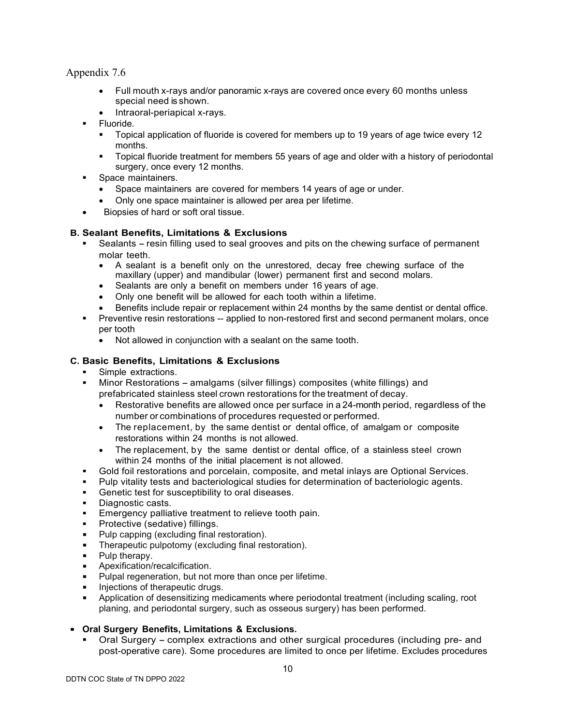- Full mouth x-rays and/or panoramic x-rays are covered once every 60 months unless special need is shown.
- Intraoral-periapical x-rays.
- **Fluoride.** 
	- Topical application of fluoride is covered for members up to 19 years of age twice every 12 months.
	- **Topical fluoride treatment for members 55 years of age and older with a history of periodontal** surgery, once every 12 months.
	- Space maintainers.
		- Space maintainers are covered for members 14 years of age or under.
		- Only one space maintainer is allowed per area per lifetime.
- Biopsies of hard or soft oral tissue.

## **B. Sealant Benefits, Limitations & Exclusions**

- Sealants resin filling used to seal grooves and pits on the chewing surface of permanent molar teeth
	- A sealant is a benefit only on the unrestored, decay free chewing surface of the maxillary (upper) and mandibular (lower) permanent first and second molars.
	- Sealants are only a benefit on members under 16 years of age.
	- Only one benefit will be allowed for each tooth within a lifetime.
	- Benefits include repair or replacement within 24 months by the same dentist or dental office.
- Preventive resin restorations -- applied to non-restored first and second permanent molars, once per tooth
	- Not allowed in conjunction with a sealant on the same tooth.

## **C. Basic Benefits, Limitations & Exclusions**

- Simple extractions.
- Minor Restorations amalgams (silver fillings) composites (white fillings) and prefabricated stainless steel crown restorations for the treatment of decay.
	- Restorative benefits are allowed once per surface in a 24-month period, regardless of the number or combinations of procedures requested or performed.
	- The replacement, by the same dentist or dental office, of amalgam or composite restorations within 24 months is not allowed.
	- The replacement, by the same dentist or dental office, of a stainless steel crown within 24 months of the initial placement is not allowed.
- Gold foil restorations and porcelain, composite, and metal inlays are Optional Services.
- Pulp vitality tests and bacteriological studies for determination of bacteriologic agents.
- Genetic test for susceptibility to oral diseases.
- Diagnostic casts.<br>Emergency pallia
- Emergency palliative treatment to relieve tooth pain.
- Protective (sedative) fillings.
- **Pulp capping (excluding final restoration).**
- **Therapeutic pulpotomy (excluding final restoration).**
- Pulp therapy.
- **Apexification/recalcification.**
- **Pulpal regeneration, but not more than once per lifetime.**
- Injections of therapeutic drugs.
- Application of desensitizing medicaments where periodontal treatment (including scaling, root planing, and periodontal surgery, such as osseous surgery) has been performed.
- **Oral Surgery Benefits, Limitations & Exclusions.**
	- Oral Surgery complex extractions and other surgical procedures (including pre- and post-operative care). Some procedures are limited to once per lifetime. Excludes procedures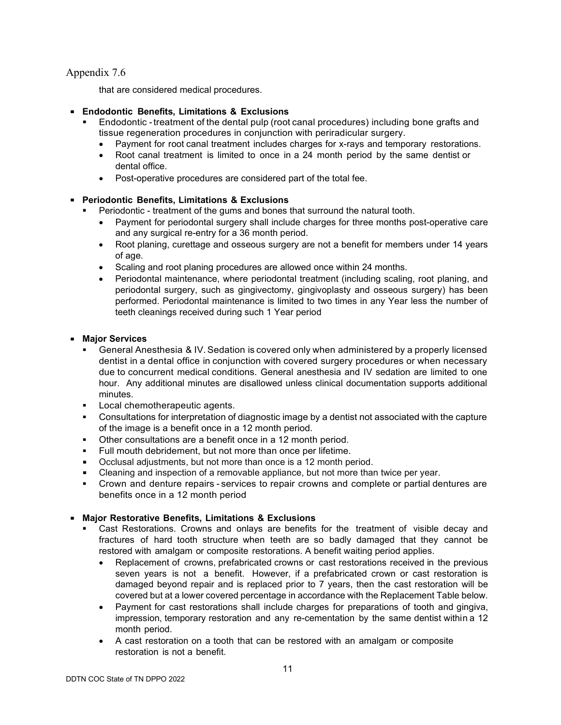that are considered medical procedures.

- **Endodontic Benefits, Limitations & Exclusions**
	- Endodontic -treatment of the dental pulp (root canal procedures) including bone grafts and tissue regeneration procedures in conjunction with periradicular surgery.
		- Payment for root canal treatment includes charges for x-rays and temporary restorations.
		- Root canal treatment is limited to once in a 24 month period by the same dentist or dental office.
		- Post-operative procedures are considered part of the total fee.

# **Periodontic Benefits, Limitations & Exclusions**

- Periodontic treatment of the gums and bones that surround the natural tooth.
	- Payment for periodontal surgery shall include charges for three months post-operative care and any surgical re-entry for a 36 month period.
	- Root planing, curettage and osseous surgery are not a benefit for members under 14 years of age.
	- Scaling and root planing procedures are allowed once within 24 months.
	- Periodontal maintenance, where periodontal treatment (including scaling, root planing, and periodontal surgery, such as gingivectomy, gingivoplasty and osseous surgery) has been performed. Periodontal maintenance is limited to two times in any Year less the number of teeth cleanings received during such 1 Year period

# **Major Services**

- General Anesthesia & IV.Sedation is covered only when administered by a properly licensed dentist in a dental office in conjunction with covered surgery procedures or when necessary due to concurrent medical conditions. General anesthesia and IV sedation are limited to one hour. Any additional minutes are disallowed unless clinical documentation supports additional minutes.
- Local chemotherapeutic agents.
- Consultations for interpretation of diagnostic image by a dentist not associated with the capture of the image is a benefit once in a 12 month period.
- Other consultations are a benefit once in a 12 month period.
- Full mouth debridement, but not more than once per lifetime.
- Occlusal adjustments, but not more than once is a 12 month period.
- Cleaning and inspection of a removable appliance, but not more than twice per year.
- Crown and denture repairs services to repair crowns and complete or partial dentures are benefits once in a 12 month period

# **Major Restorative Benefits, Limitations & Exclusions**

- Cast Restorations. Crowns and onlays are benefits for the treatment of visible decay and fractures of hard tooth structure when teeth are so badly damaged that they cannot be restored with amalgam or composite restorations. A benefit waiting period applies.
	- Replacement of crowns, prefabricated crowns or cast restorations received in the previous seven years is not a benefit. However, if a prefabricated crown or cast restoration is damaged beyond repair and is replaced prior to 7 years, then the cast restoration will be covered but at a lower covered percentage in accordance with the Replacement Table below.
	- Payment for cast restorations shall include charges for preparations of tooth and gingiva, impression, temporary restoration and any re-cementation by the same dentist within a 12 month period.
	- A cast restoration on a tooth that can be restored with an amalgam or composite restoration is not a benefit.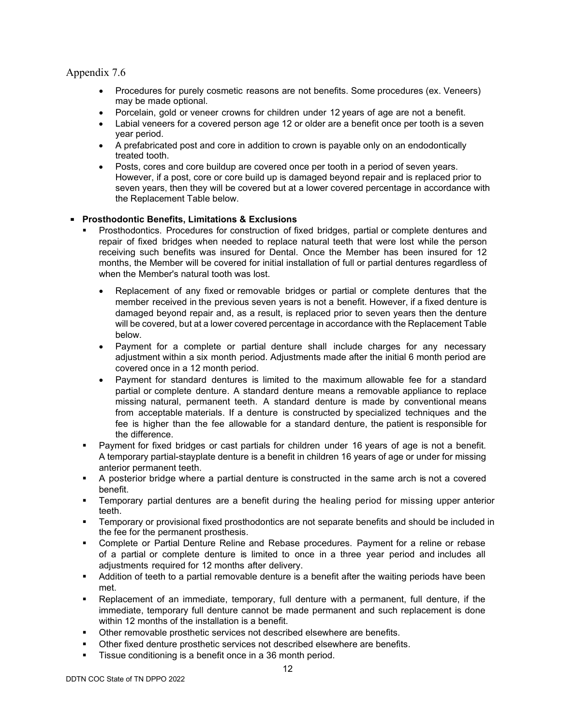- Procedures for purely cosmetic reasons are not benefits. Some procedures (ex. Veneers) may be made optional.
- Porcelain, gold or veneer crowns for children under 12 years of age are not a benefit.
- Labial veneers for a covered person age 12 or older are a benefit once per tooth is a seven year period.
- A prefabricated post and core in addition to crown is payable only on an endodontically treated tooth.
- Posts, cores and core buildup are covered once per tooth in a period of seven years. However, if a post, core or core build up is damaged beyond repair and is replaced prior to seven years, then they will be covered but at a lower covered percentage in accordance with the Replacement Table below.

## **Prosthodontic Benefits, Limitations & Exclusions**

- Prosthodontics. Procedures for construction of fixed bridges, partial or complete dentures and repair of fixed bridges when needed to replace natural teeth that were lost while the person receiving such benefits was insured for Dental. Once the Member has been insured for 12 months, the Member will be covered for initial installation of full or partial dentures regardless of when the Member's natural tooth was lost.
	- Replacement of any fixed or removable bridges or partial or complete dentures that the member received in the previous seven years is not a benefit. However, if a fixed denture is damaged beyond repair and, as a result, is replaced prior to seven years then the denture will be covered, but at a lower covered percentage in accordance with the Replacement Table below.
	- Payment for a complete or partial denture shall include charges for any necessary adjustment within a six month period. Adjustments made after the initial 6 month period are covered once in a 12 month period.
	- Payment for standard dentures is limited to the maximum allowable fee for a standard partial or complete denture. A standard denture means a removable appliance to replace missing natural, permanent teeth. A standard denture is made by conventional means from acceptable materials. If a denture is constructed by specialized techniques and the fee is higher than the fee allowable for a standard denture, the patient is responsible for the difference.
- Payment for fixed bridges or cast partials for children under 16 years of age is not a benefit. A temporary partial-stayplate denture is a benefit in children 16 years of age or under for missing anterior permanent teeth.
- A posterior bridge where a partial denture is constructed in the same arch is not a covered benefit.
- Temporary partial dentures are a benefit during the healing period for missing upper anterior teeth.
- Temporary or provisional fixed prosthodontics are not separate benefits and should be included in the fee for the permanent prosthesis.
- Complete or Partial Denture Reline and Rebase procedures. Payment for a reline or rebase of a partial or complete denture is limited to once in a three year period and includes all adjustments required for 12 months after delivery.
- Addition of teeth to a partial removable denture is a benefit after the waiting periods have been met.
- Replacement of an immediate, temporary, full denture with a permanent, full denture, if the immediate, temporary full denture cannot be made permanent and such replacement is done within 12 months of the installation is a benefit.
- Other removable prosthetic services not described elsewhere are benefits.
- Other fixed denture prosthetic services not described elsewhere are benefits.
- Tissue conditioning is a benefit once in a 36 month period.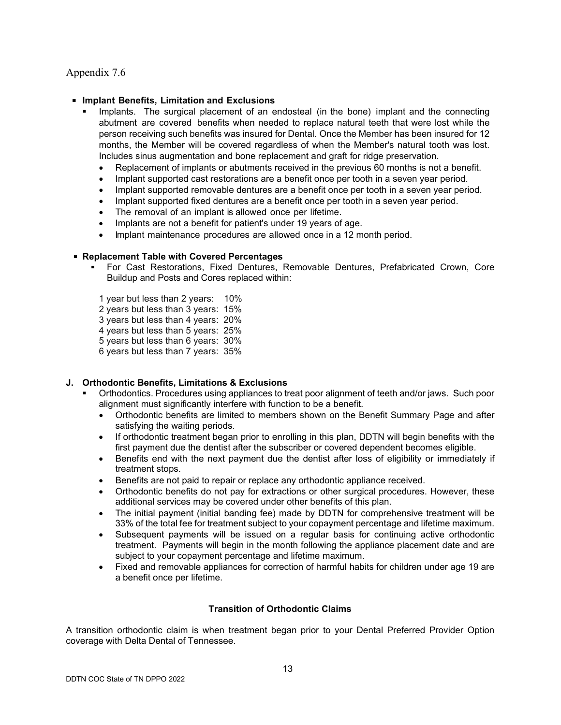#### **Implant Benefits, Limitation and Exclusions**

- Implants. The surgical placement of an endosteal (in the bone) implant and the connecting abutment are covered benefits when needed to replace natural teeth that were lost while the person receiving such benefits was insured for Dental. Once the Member has been insured for 12 months, the Member will be covered regardless of when the Member's natural tooth was lost. Includes sinus augmentation and bone replacement and graft for ridge preservation.
	- Replacement of implants or abutments received in the previous 60 months is not a benefit.
	- Implant supported cast restorations are a benefit once per tooth in a seven year period.
	- Implant supported removable dentures are a benefit once per tooth in a seven year period.
	- Implant supported fixed dentures are a benefit once per tooth in a seven year period.
	- The removal of an implant is allowed once per lifetime.
	- Implants are not a benefit for patient's under 19 years of age.
	- Implant maintenance procedures are allowed once in a 12 month period.

#### **Replacement Table with Covered Percentages**

 For Cast Restorations, Fixed Dentures, Removable Dentures, Prefabricated Crown, Core Buildup and Posts and Cores replaced within:

1 year but less than 2 years: 10%

- 2 years but less than 3 years: 15%
- 3 years but less than 4 years: 20%
- 4 years but less than 5 years: 25%
- 5 years but less than 6 years: 30%
- 6 years but less than 7 years: 35%

#### **J. Orthodontic Benefits, Limitations & Exclusions**

- Orthodontics. Procedures using appliances to treat poor alignment of teeth and/or jaws. Such poor alignment must significantly interfere with function to be a benefit.
	- Orthodontic benefits are limited to members shown on the Benefit Summary Page and after satisfying the waiting periods.
	- If orthodontic treatment began prior to enrolling in this plan, DDTN will begin benefits with the first payment due the dentist after the subscriber or covered dependent becomes eligible.
	- Benefits end with the next payment due the dentist after loss of eligibility or immediately if treatment stops.
	- Benefits are not paid to repair or replace any orthodontic appliance received.
	- Orthodontic benefits do not pay for extractions or other surgical procedures. However, these additional services may be covered under other benefits of this plan.
	- The initial payment (initial banding fee) made by DDTN for comprehensive treatment will be 33% of the total fee for treatment subject to your copayment percentage and lifetime maximum.
	- Subsequent payments will be issued on a regular basis for continuing active orthodontic treatment. Payments will begin in the month following the appliance placement date and are subject to your copayment percentage and lifetime maximum.
	- Fixed and removable appliances for correction of harmful habits for children under age 19 are a benefit once per lifetime.

#### **Transition of Orthodontic Claims**

A transition orthodontic claim is when treatment began prior to your Dental Preferred Provider Option coverage with Delta Dental of Tennessee.